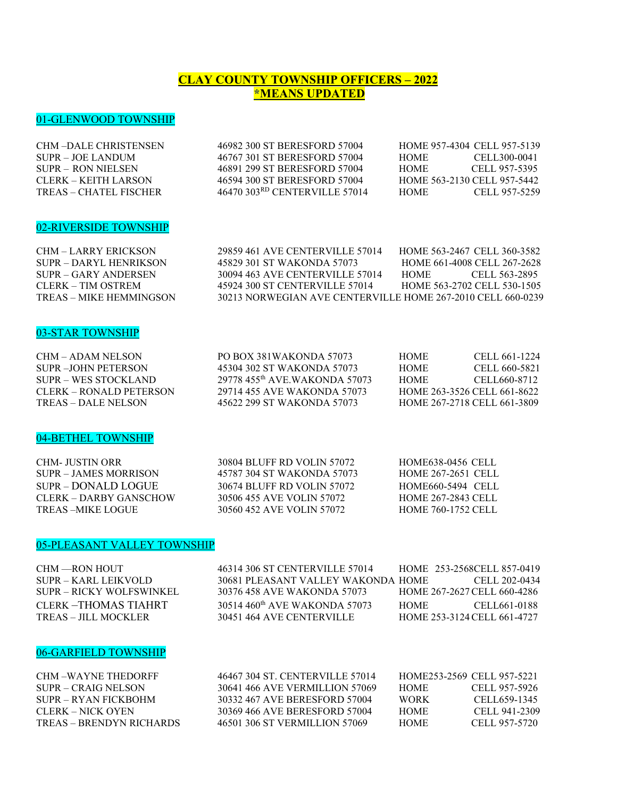# **CLAY COUNTY TOWNSHIP OFFICERS – 2022 \*MEANS UPDATED**

# 01-GLENWOOD TOWNSHIP

| <b>CHM-DALE CHRISTENSEN</b> | 46982 300 ST BERESFORD 57004              | HOME 957-4304 CELL 957-5139 |               |
|-----------------------------|-------------------------------------------|-----------------------------|---------------|
| SUPR – JOE LANDUM           | 46767 301 ST BERESFORD 57004              | HOME.                       | CELL300-0041  |
| SUPR – RON NIELSEN          | 46891 299 ST BERESFORD 57004              | HOME.                       | CELL 957-5395 |
| CLERK – KEITH LARSON        | 46594 300 ST BERESFORD 57004              | HOME 563-2130 CELL 957-5442 |               |
| TREAS – CHATEL FISCHER      | 46470 303 <sup>RD</sup> CENTERVILLE 57014 | HOME.                       | CELL 957-5259 |
|                             |                                           |                             |               |

### 02-RIVERSIDE TOWNSHIP

| CHM - LARRY ERICKSON    | 29859 461 AVE CENTERVILLE 57014                             | HOME 563-2467 CELL 360-3582 |
|-------------------------|-------------------------------------------------------------|-----------------------------|
| SUPR – DARYL HENRIKSON  | 45829 301 ST WAKONDA 57073                                  | HOME 661-4008 CELL 267-2628 |
| $SIIPR = GARY ANDERSEN$ | 30094 463 AVE CENTERVILLE 57014                             | CELL 563-2895<br>HOME.      |
| CLERK – TIM OSTREM      | 45924 300 ST CENTERVILLE 57014                              | HOME 563-2702 CELL 530-1505 |
| TREAS – MIKE HEMMINGSON | 30213 NORWEGIAN AVE CENTERVILLE HOME 267-2010 CELL 660-0239 |                             |

#### 03-STAR TOWNSHIP

| CHM – ADAM NELSON         | PO BOX 381WAKONDA 57073       | <b>HOME</b> | CELL 661-1224               |
|---------------------------|-------------------------------|-------------|-----------------------------|
| SUPR - JOHN PETERSON      | 45304 302 ST WAKONDA 57073    | HOME        | CELL 660-5821               |
| SUPR – WES STOCKLAND      | 29778 455th AVE WAKONDA 57073 | <b>HOME</b> | CELL660-8712                |
| $CLERK = ROMALD PETERSON$ | 29714 455 AVE WAKONDA 57073   |             | HOME 263-3526 CELL 661-8622 |
| TREAS – DALE NELSON       | 45622 299 ST WAKONDA 57073    |             | HOME 267-2718 CELL 661-3809 |

### 04-BETHEL TOWNSHIP

| CHM- JUSTIN ORR        | 30804 BLUFF RD VOLIN 57072 | <b>HOME638-0456 CELL</b>  |
|------------------------|----------------------------|---------------------------|
| SUPR – JAMES MORRISON  | 45787 304 ST WAKONDA 57073 | <b>HOME 267-2651 CELL</b> |
| $SIIPR = DONALD LOGUE$ | 30674 BLUFF RD VOLIN 57072 | HOME660-5494 CELL         |
| CLERK – DARBY GANSCHOW | 30506 455 AVE VOLIN 57072  | <b>HOME 267-2843 CELL</b> |
| TREAS –MIKE LOGUE      | 30560 452 AVE VOLIN 57072  | <b>HOME 760-1752 CELL</b> |

# 05-PLEASANT VALLEY TOWNSHIP

| CHM —RON HOUT            | 46314 306 ST CENTERVILLE 57014            | HOME 253-2568CELL 857-0419  |               |
|--------------------------|-------------------------------------------|-----------------------------|---------------|
| SUPR – KARL LEIKVOLD     | 30681 PLEASANT VALLEY WAKONDA HOME        |                             | CELL 202-0434 |
| SUPR – RICKY WOLFSWINKEL | 30376 458 AVE WAKONDA 57073               | HOME 267-2627 CELL 660-4286 |               |
| CLERK - THOMAS TIAHRT    | 30514 460 <sup>th</sup> AVE WAKONDA 57073 | HOME –                      | CELL661-0188  |
| TREAS – JILL MOCKLER     | 30451 464 AVE CENTERVILLE                 | HOME 253-3124 CELL 661-4727 |               |
|                          |                                           |                             |               |

### 06-GARFIELD TOWNSHIP

| CHM –WAYNE THEDORFF      | 46467 304 ST. CENTERVILLE 57014 | HOME253-2569 CELL 957-5221 |               |
|--------------------------|---------------------------------|----------------------------|---------------|
| SUPR – CRAIG NELSON      | 30641 466 AVE VERMILLION 57069  | <b>HOME</b>                | CELL 957-5926 |
| SUPR – RYAN FICKBOHM     | 30332 467 AVE BERESFORD 57004   | <b>WORK</b>                | CELL 659-1345 |
| CLERK – NICK OYEN        | 30369 466 AVE BERESFORD 57004   | <b>HOME</b>                | CELL 941-2309 |
| TREAS – BRENDYN RICHARDS | 46501 306 ST VERMILLION 57069   | <b>HOME</b>                | CELL 957-5720 |
|                          |                                 |                            |               |